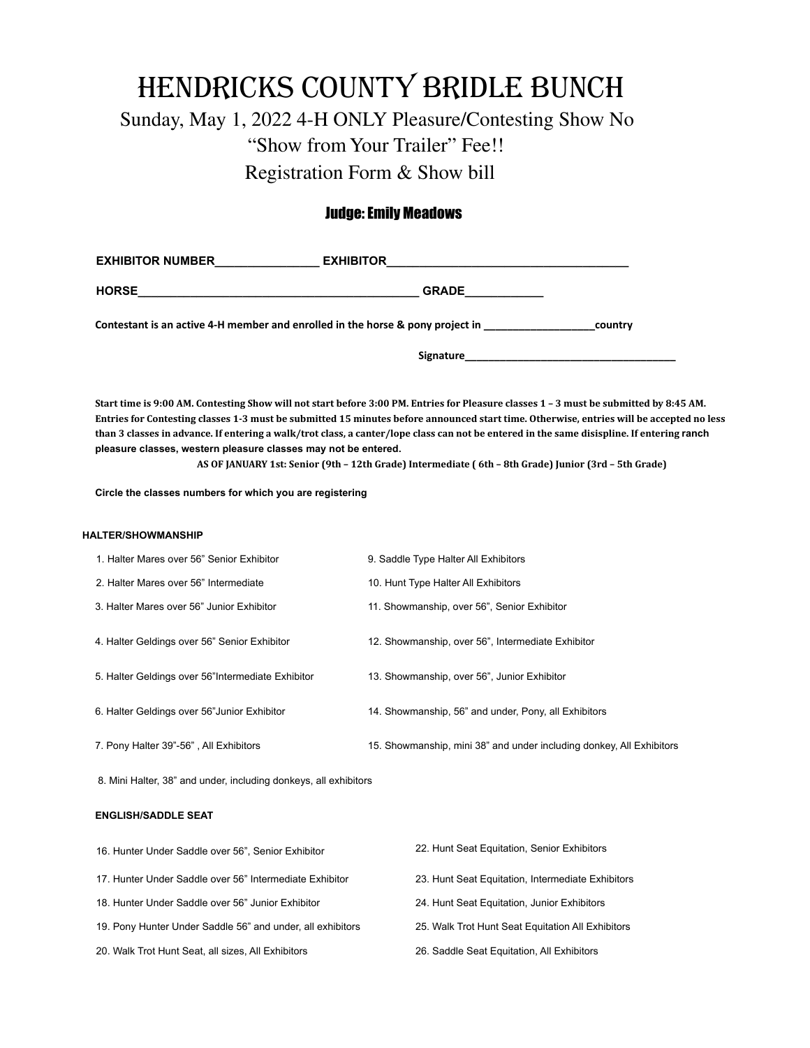# HENDRICKS COUNTY BRIDLE BUNCH

Sunday, May 1, 2022 4-H ONLY Pleasure/Contesting Show No "Show from Your Trailer" Fee!! Registration Form & Show bill

## Judge: Emily Meadows

| <b>EXHIBITOR NUMBER</b> | <b>EXHIBITOR</b>                                                               |         |
|-------------------------|--------------------------------------------------------------------------------|---------|
| <b>HORSE</b>            | <b>GRADE</b>                                                                   |         |
|                         | Contestant is an active 4-H member and enrolled in the horse & pony project in | country |
|                         | <b>Signature</b>                                                               |         |

Start time is 9:00 AM. Contesting Show will not start before 3:00 PM. Entries for Pleasure classes 1 - 3 must be submitted by 8:45 AM. Entries for Contesting classes 1-3 must be submitted 15 minutes before announced start time. Otherwise, entries will be accepted no less than 3 classes in advance. If entering a walk/trot class, a canter/lope class can not be entered in the same disispline. If entering ranch **pleasure classes, western pleasure classes may not be entered.**

AS OF JANUARY 1st: Senior (9th - 12th Grade) Intermediate (6th - 8th Grade) Junior (3rd - 5th Grade)

**Circle the classes numbers for which you are registering**

#### **HALTER/SHOWMANSHIP**

| 1. Halter Mares over 56" Senior Exhibitor          | 9. Saddle Type Halter All Exhibitors                                 |
|----------------------------------------------------|----------------------------------------------------------------------|
| 2. Halter Mares over 56" Intermediate              | 10. Hunt Type Halter All Exhibitors                                  |
| 3. Halter Mares over 56" Junior Exhibitor          | 11. Showmanship, over 56", Senior Exhibitor                          |
| 4. Halter Geldings over 56" Senior Exhibitor       | 12. Showmanship, over 56", Intermediate Exhibitor                    |
| 5. Halter Geldings over 56" Intermediate Exhibitor | 13. Showmanship, over 56", Junior Exhibitor                          |
| 6. Halter Geldings over 56" Junior Exhibitor       | 14. Showmanship, 56" and under, Pony, all Exhibitors                 |
| 7. Pony Halter 39"-56", All Exhibitors             | 15. Showmanship, mini 38" and under including donkey, All Exhibitors |

8. Mini Halter, 38" and under, including donkeys, all exhibitors

### **ENGLISH/SADDLE SEAT**

| 16. Hunter Under Saddle over 56", Senior Exhibitor         | 22. Hunt Seat Equitation, Senior Exhibitors       |
|------------------------------------------------------------|---------------------------------------------------|
| 17. Hunter Under Saddle over 56" Intermediate Exhibitor    | 23. Hunt Seat Equitation, Intermediate Exhibitors |
| 18. Hunter Under Saddle over 56" Junior Exhibitor          | 24. Hunt Seat Equitation, Junior Exhibitors       |
| 19. Pony Hunter Under Saddle 56" and under, all exhibitors | 25. Walk Trot Hunt Seat Equitation All Exhibitors |
| 20. Walk Trot Hunt Seat, all sizes, All Exhibitors         | 26. Saddle Seat Equitation, All Exhibitors        |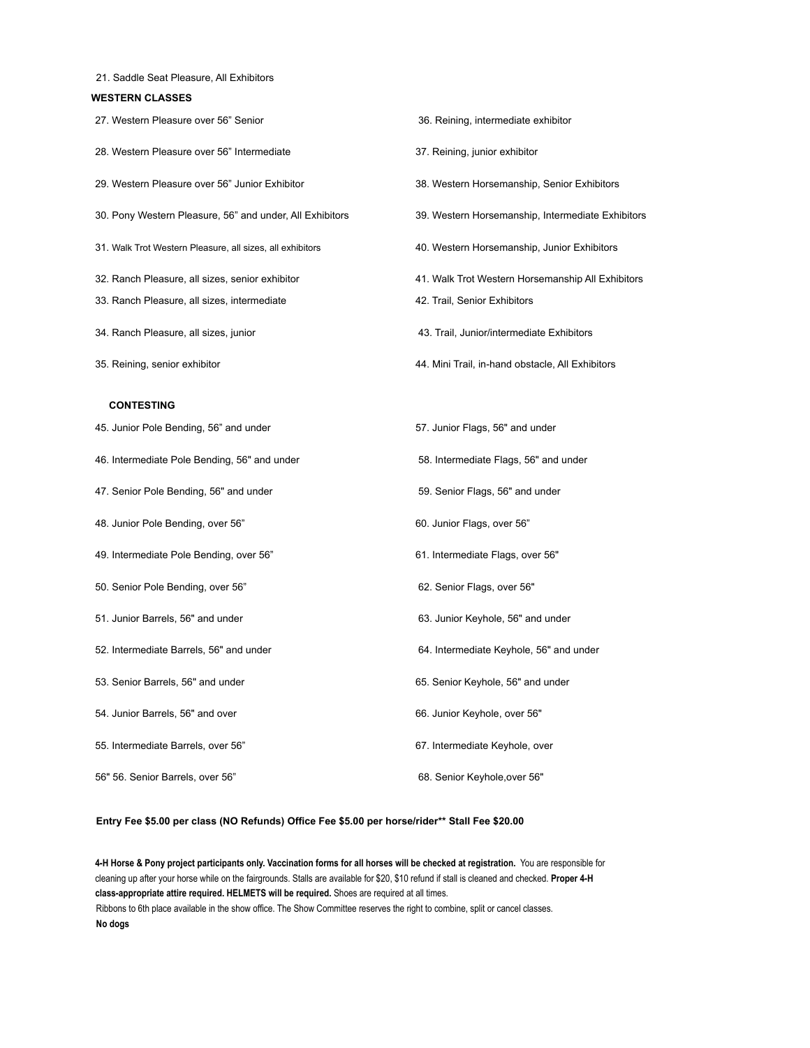| 21. Saddle Seat Pleasure, All Exhibitors |  |  |  |  |  |  |
|------------------------------------------|--|--|--|--|--|--|
|------------------------------------------|--|--|--|--|--|--|

### **WESTERN CLASSES**

| 27. Western Pleasure over 56" Senior                      | 36. Reining, intermediate exhibitor               |
|-----------------------------------------------------------|---------------------------------------------------|
| 28. Western Pleasure over 56" Intermediate                | 37. Reining, junior exhibitor                     |
| 29. Western Pleasure over 56" Junior Exhibitor            | 38. Western Horsemanship, Senior Exhibitors       |
| 30. Pony Western Pleasure, 56" and under, All Exhibitors  | 39. Western Horsemanship, Intermediate Exhibitors |
| 31. Walk Trot Western Pleasure, all sizes, all exhibitors | 40. Western Horsemanship, Junior Exhibitors       |
| 32. Ranch Pleasure, all sizes, senior exhibitor           | 41. Walk Trot Western Horsemanship All Exhibitors |
| 33. Ranch Pleasure, all sizes, intermediate               | 42. Trail, Senior Exhibitors                      |
| 34. Ranch Pleasure, all sizes, junior                     | 43. Trail, Junior/intermediate Exhibitors         |
| 35. Reining, senior exhibitor                             | 44. Mini Trail, in-hand obstacle, All Exhibitors  |
| <b>CONTESTING</b>                                         |                                                   |
| 45. Junior Pole Bending, 56" and under                    | 57. Junior Flags, 56" and under                   |
| 46. Intermediate Pole Bending, 56" and under              | 58. Intermediate Flags, 56" and under             |
| 47. Senior Pole Bending, 56" and under                    | 59. Senior Flags, 56" and under                   |
| 48. Junior Pole Bending, over 56"                         | 60. Junior Flags, over 56"                        |
| 49. Intermediate Pole Bending, over 56"                   | 61. Intermediate Flags, over 56"                  |
| 50. Senior Pole Bending, over 56"                         | 62. Senior Flags, over 56"                        |
| 51. Junior Barrels, 56" and under                         | 63. Junior Keyhole, 56" and under                 |
| 52. Intermediate Barrels, 56" and under                   | 64. Intermediate Keyhole, 56" and under           |
| 53. Senior Barrels, 56" and under                         | 65. Senior Keyhole, 56" and under                 |
| 54. Junior Barrels, 56" and over                          | 66. Junior Keyhole, over 56"                      |
| 55. Intermediate Barrels, over 56"                        | 67. Intermediate Keyhole, over                    |
| 56" 56. Senior Barrels, over 56"                          | 68. Senior Keyhole, over 56"                      |

#### **Entry Fee \$5.00 per class (NO Refunds) Office Fee \$5.00 per horse/rider\*\* Stall Fee \$20.00**

4-H Horse & Pony project participants only. Vaccination forms for all horses will be checked at registration. You are responsible for cleaning up after your horse while on the fairgrounds. Stalls are available for \$20, \$10 refund if stall is cleaned and checked. **Proper 4-H class-appropriate attire required. HELMETS will be required.** Shoes are required at all times. Ribbons to 6th place available in the show office. The Show Committee reserves the right to combine, split or cancel classes. **No dogs**